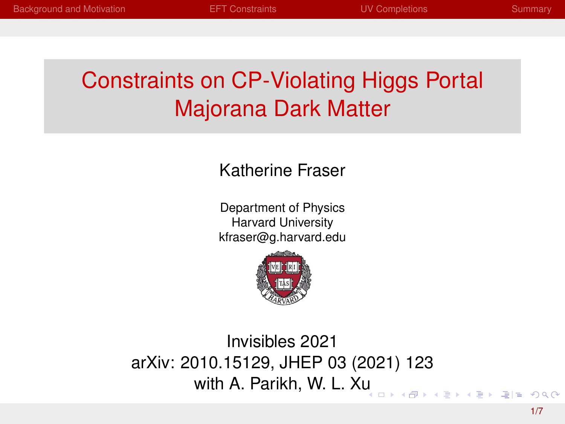# <span id="page-0-0"></span>Constraints on CP-Violating Higgs Portal Majorana Dark Matter

#### Katherine Fraser

Department of Physics Harvard University kfraser@g.harvard.edu



Invisibles 2021 arXiv: 2010.15129, JHEP 03 (2021) 123 with A. Parikh, W. L. X[u](#page-0-0)  $4B + B = 990$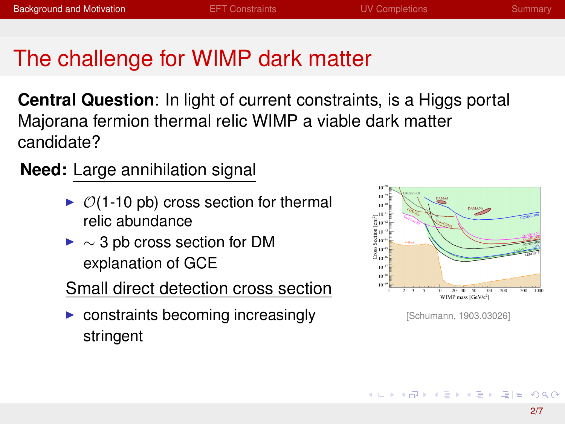# <span id="page-1-0"></span>The challenge for WIMP dark matter

**Central Question**: In light of current constraints, is a Higgs portal Majorana fermion thermal relic WIMP a viable dark matter candidate?

**Need:** Large annihilation signal

- $\triangleright$   $\mathcal{O}(1\text{-}10 \text{ pb})$  cross section for thermal relic abundance
- $\blacktriangleright \sim 3$  pb cross section for DM explanation of GCE
- Small direct detection cross section
- $\triangleright$  constraints becoming increasingly stringent



[Schumann, 1903.03026]

- ◆ ヨ ▶ ◆ ヨ ▶ - ヨ ヨ - つんぺ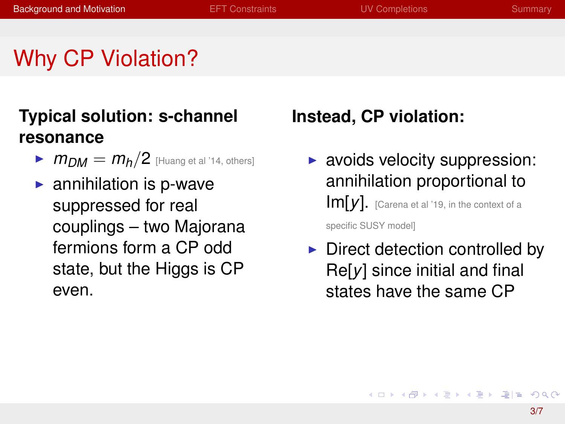## Why CP Violation?

#### **Typical solution: s-channel resonance**

- $\blacktriangleright$   $m_{DM} = m_h/2$  [Huang et al '14, others]
- $\blacktriangleright$  annihilation is p-wave suppressed for real couplings – two Majorana fermions form a CP odd state, but the Higgs is CP even.

#### **Instead, CP violation:**

- $\blacktriangleright$  avoids velocity suppression: annihilation proportional to Im[*y*]. [Carena et al '19, in the context of a specific SUSY model]
- $\triangleright$  Direct detection controlled by Re[*y*] since initial and final states have the same CP

K ロ > K @ ▶ K ミ ▶ K ミ ▶ [로] = 10 Q Q @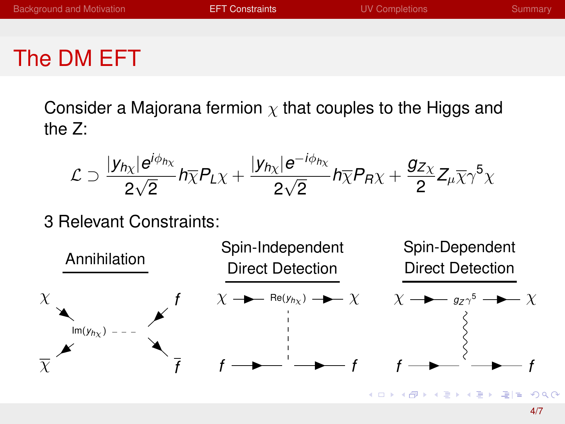## <span id="page-3-0"></span>The DM EFT

Consider a Majorana fermion  $\chi$  that couples to the Higgs and the Z:

$$
\mathcal{L} \supset \frac{|y_{h\chi}|e^{i\phi_{h\chi}}}{2\sqrt{2}}h\overline{\chi}P_{L}\chi + \frac{|y_{h\chi}|e^{-i\phi_{h\chi}}}{2\sqrt{2}}h\overline{\chi}P_{R}\chi + \frac{g_{Z\chi}}{2}Z_{\mu}\overline{\chi}\gamma^{5}\chi
$$

#### 3 Relevant Constraints:

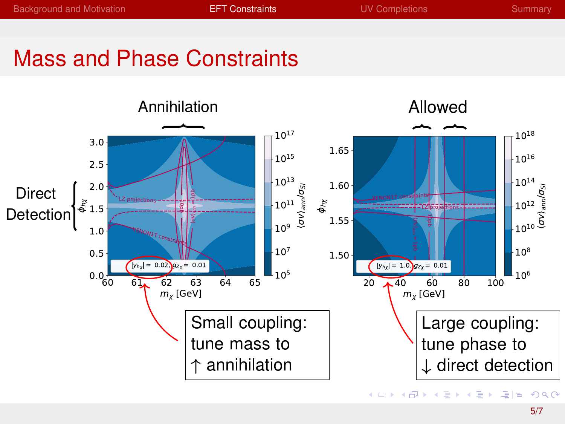## Mass and Phase Constraints

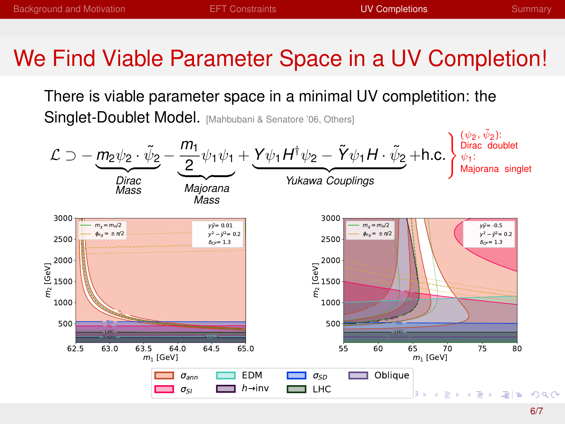## <span id="page-5-0"></span>We Find Viable Parameter Space in a UV Completion!

There is viable parameter space in a minimal UV completition: the Singlet-Doublet Model. [Mahbubani & Senatore '06, Others]

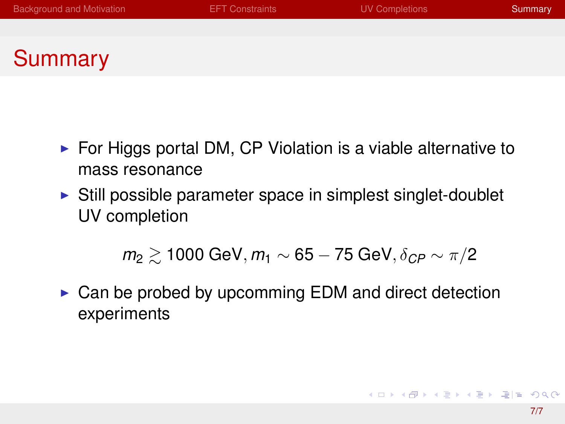# <span id="page-6-0"></span>Summary

- $\triangleright$  For Higgs portal DM, CP Violation is a viable alternative to mass resonance
- $\triangleright$  Still possible parameter space in simplest singlet-doublet UV completion

*m*<sub>2</sub>  $\geq$  1000 GeV, *m*<sub>1</sub> ∼ 65 − 75 GeV, δ<sub>CP</sub> ∼ π/2

 $\triangleright$  Can be probed by upcomming EDM and direct detection experiments

K ロ ▶ K @ ▶ K ミ ▶ K ミ ▶ [로]로 19 Q @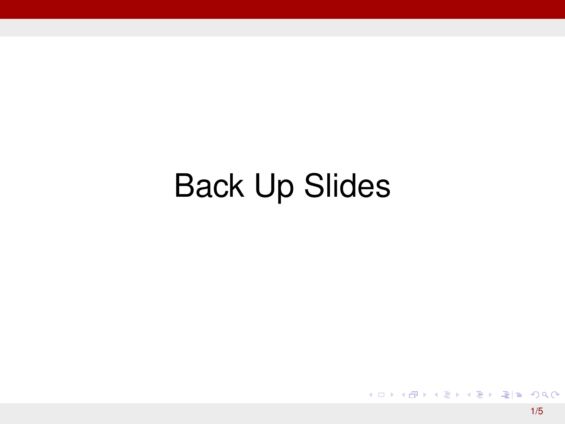# Back Up Slides

K ロ ▶ K 御 ▶ K 君 ▶ K 君 ▶ (君) # 1 9 9 0 0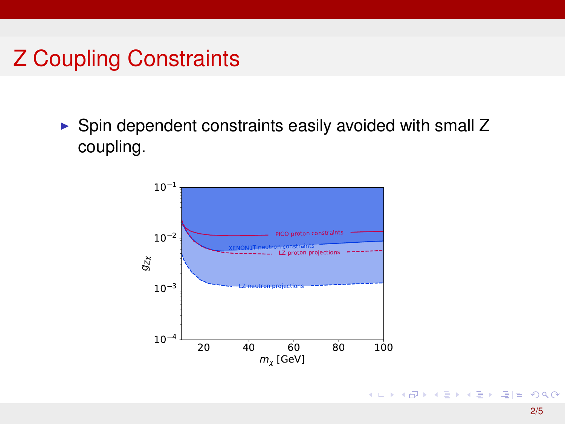## Z Coupling Constraints

 $\triangleright$  Spin dependent constraints easily avoided with small Z coupling.

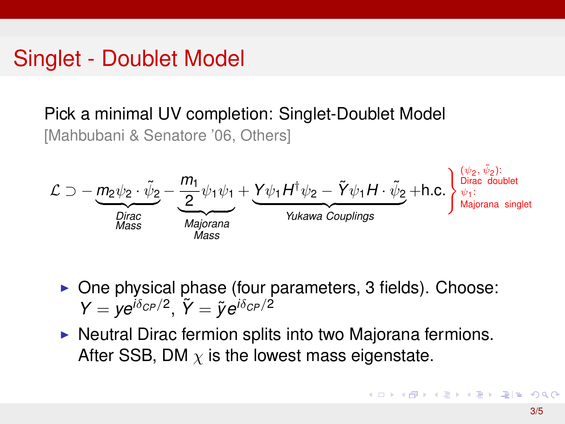#### Singlet - Doublet Model

Pick a minimal UV completion: Singlet-Doublet Model [Mahbubani & Senatore '06, Others]



 $\triangleright$  One physical phase (four parameters, 3 fields). Choose:  $Y = ye^{i\delta_{CP}/2}$ ,  $\tilde{Y} = \tilde{y}e^{i\delta_{CP}/2}$ 

 $\triangleright$  Neutral Dirac fermion splits into two Majorana fermions. After SSB, DM  $\chi$  is the lowest mass eigenstate.

K ロ ▶ K @ ▶ K 경 ▶ K 경 ▶ 경(일 + 9) Q Q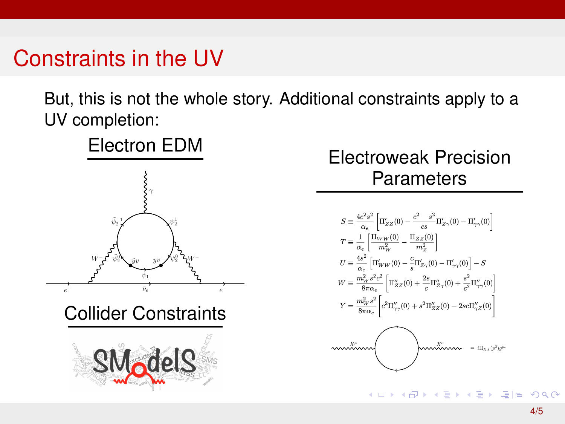## Constraints in the UV

But, this is not the whole story. Additional constraints apply to a UV completion:

 $\ddot{\phantom{0}}$ 



#### Electroweak Precision **Parameters**

$$
\begin{split} S &\equiv \frac{4c^2s^2}{\alpha_e}\left[\Pi_{ZZ}'(0)-\frac{c^2-s^2}{cs}\Pi_{Z\gamma}'(0)-\Pi_{\gamma\gamma}'(0)\right] \\ T &\equiv \frac{1}{\alpha_e}\left[\frac{\Pi_{WW}(0)}{m_W^2}-\frac{\Pi_{ZZ}'(0)}{m_Z^2}\right] \\ U &\equiv \frac{4s^2}{\alpha_e}\left[\Pi_{WW}'(0)-\frac{c}{s}\Pi_{Z\gamma}'(0)-\Pi_{\gamma\gamma}'(0)\right]-S \\ W &\equiv \frac{m_W^2s^2c^2}{8\pi\alpha_e}\left[\Pi_{ZZ}''(0)+\frac{2s}{c}\Pi_{Z\gamma}''(0)+\frac{s^2}{c^2}\Pi_{\gamma\gamma}''(0)\right] \\ Y &\equiv \frac{m_W^2s^2}{8\pi\alpha_e}\left[c^2\Pi_{\gamma\gamma}''(0)+s^2\Pi_{ZZ}''(0)-2s c\Pi_{\gamma Z}''(0)\right] \\ \end{split}
$$